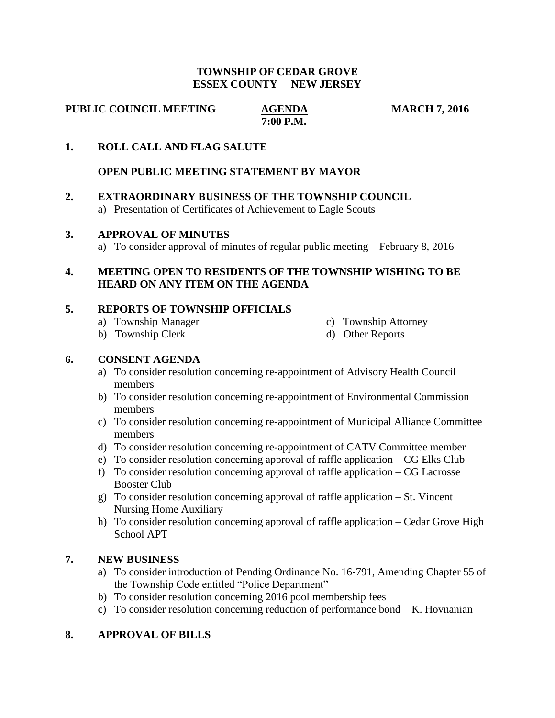#### **TOWNSHIP OF CEDAR GROVE ESSEX COUNTY NEW JERSEY**

**PUBLIC COUNCIL MEETING AGENDA MARCH 7, 2016** 

 **7:00 P.M.**

## **1. ROLL CALL AND FLAG SALUTE**

### **OPEN PUBLIC MEETING STATEMENT BY MAYOR**

### **2. EXTRAORDINARY BUSINESS OF THE TOWNSHIP COUNCIL**

a) Presentation of Certificates of Achievement to Eagle Scouts

#### **3. APPROVAL OF MINUTES**

a) To consider approval of minutes of regular public meeting – February 8, 2016

## **4. MEETING OPEN TO RESIDENTS OF THE TOWNSHIP WISHING TO BE HEARD ON ANY ITEM ON THE AGENDA**

### **5. REPORTS OF TOWNSHIP OFFICIALS**

- a) Township Manager c) Township Attorney
- 
- b) Township Clerk d) Other Reports

## **6. CONSENT AGENDA**

- a) To consider resolution concerning re-appointment of Advisory Health Council members
- b) To consider resolution concerning re-appointment of Environmental Commission members
- c) To consider resolution concerning re-appointment of Municipal Alliance Committee members
- d) To consider resolution concerning re-appointment of CATV Committee member
- e) To consider resolution concerning approval of raffle application CG Elks Club
- f) To consider resolution concerning approval of raffle application CG Lacrosse Booster Club
- g) To consider resolution concerning approval of raffle application St. Vincent Nursing Home Auxiliary
- h) To consider resolution concerning approval of raffle application Cedar Grove High School APT

## **7. NEW BUSINESS**

- a) To consider introduction of Pending Ordinance No. 16-791, Amending Chapter 55 of the Township Code entitled "Police Department"
- b) To consider resolution concerning 2016 pool membership fees
- c) To consider resolution concerning reduction of performance bond  $-K$ . Hovnanian

## **8. APPROVAL OF BILLS**